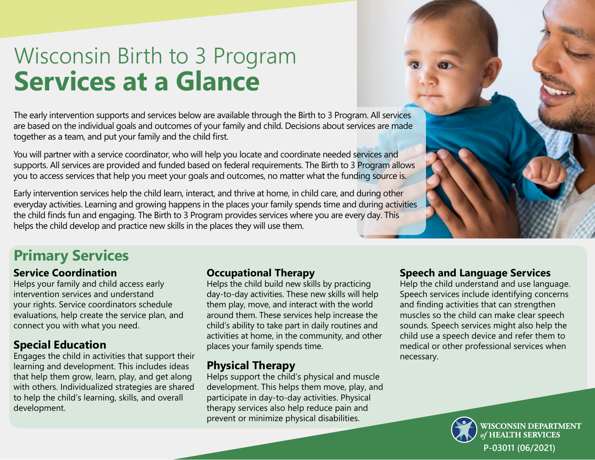# Wisconsin Birth to 3 Program **Services at a Glance**

The early intervention supports and services below are available through the Birth to 3 Program. All services are based on the individual goals and outcomes of your family and child. Decisions about services are made together as a team, and put your family and the child first.

You will partner with a service coordinator, who will help you locate and coordinate needed services and supports. All services are provided and funded based on federal requirements. The Birth to 3 Program allows you to access services that help you meet your goals and outcomes, no matter what the funding source is.

Early intervention services help the child learn, interact, and thrive at home, in child care, and during other everyday activities. Learning and growing happens in the places your family spends time and during activities the child finds fun and engaging. The Birth to 3 Program provides services where you are every day. This helps the child develop and practice new skills in the places they will use them.

# **Primary Services**

# **Service Coordination**

Helps your family and child access early intervention services and understand your rights. Service coordinators schedule evaluations, help create the service plan, and connect you with what you need.

# **Special Education**

Engages the child in activities that support their learning and development. This includes ideas that help them grow, learn, play, and get along with others. Individualized strategies are shared to help the child's learning, skills, and overall development.

#### **Occupational Therapy**

Helps the child build new skills by practicing day-to-day activities. These new skills will help them play, move, and interact with the world around them. These services help increase the child's ability to take part in daily routines and activities at home, in the community, and other places your family spends time.

# **Physical Therapy**

Helps support the child's physical and muscle development. This helps them move, play, and participate in day-to-day activities. Physical therapy services also help reduce pain and prevent or minimize physical disabilities.

#### **Speech and Language Services**

Help the child understand and use language. Speech services include identifying concerns and finding activities that can strengthen muscles so the child can make clear speech sounds. Speech services might also help the child use a speech device and refer them to medical or other professional services when necessary.



**VISCONSIN DEPARTMENT HEALTH SERVICES P-03011 (06/2021)**